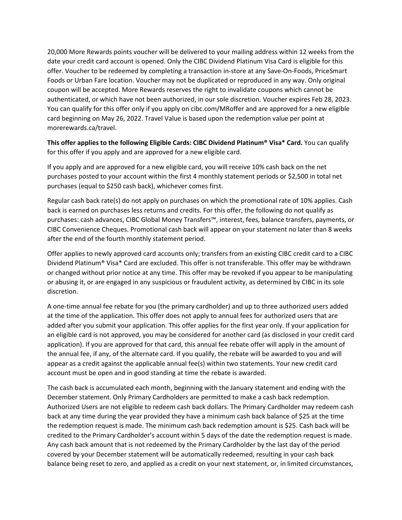20,000 More Rewards points voucher will be delivered to your mailing address within 12 weeks from the date your credit card account is opened. Only the CIBC Dividend Platinum Visa Card is eligible for this offer. Voucher to be redeemed by completing a transaction in-store at any Save-On-Foods, PriceSmart Foods or Urban Fare location. Voucher may not be duplicated or reproduced in any way. Only original coupon will be accepted. More Rewards reserves the right to invalidate coupons which cannot be authenticated, or which have not been authorized, in our sole discretion. Voucher expires Feb 28, 2023. You can qualify for this offer only if you apply on cibc.com/MRoffer and are approved for a new eligible card beginning on May 26, 2022. Travel Value is based upon the redemption value per point at morerewards.ca/travel.

**This offer applies to the following Eligible Cards: CIBC Dividend Platinum® Visa\* Card.** You can qualify for this offer if you apply and are approved for a new eligible card.

If you apply and are approved for a new eligible card, you will receive 10% cash back on the net purchases posted to your account within the first 4 monthly statement periods or \$2,500 in total net purchases (equal to \$250 cash back), whichever comes first.

Regular cash back rate(s) do not apply on purchases on which the promotional rate of 10% applies. Cash back is earned on purchases less returns and credits. For this offer, the following do not qualify as purchases: cash advances, CIBC Global Money Transfers™, interest, fees, balance transfers, payments, or CIBC Convenience Cheques. Promotional cash back will appear on your statement no later than 8 weeks after the end of the fourth monthly statement period.

Offer applies to newly approved card accounts only; transfers from an existing CIBC credit card to a CIBC Dividend Platinum® Visa\* Card are excluded. This offer is not transferable. This offer may be withdrawn or changed without prior notice at any time. This offer may be revoked if you appear to be manipulating or abusing it, or are engaged in any suspicious or fraudulent activity, as determined by CIBC in its sole discretion.

A one-time annual fee rebate for you (the primary cardholder) and up to three authorized users added at the time of the application. This offer does not apply to annual fees for authorized users that are added after you submit your application. This offer applies for the first year only. If your application for an eligible card is not approved, you may be considered for another card (as disclosed in your credit card application). If you are approved for that card, this annual fee rebate offer will apply in the amount of the annual fee, if any, of the alternate card. If you qualify, the rebate will be awarded to you and will appear as a credit against the applicable annual fee(s) within two statements. Your new credit card account must be open and in good standing at time the rebate is awarded.

The cash back is accumulated each month, beginning with the January statement and ending with the December statement. Only Primary Cardholders are permitted to make a cash back redemption. Authorized Users are not eligible to redeem cash back dollars. The Primary Cardholder may redeem cash back at any time during the year provided they have a minimum cash back balance of \$25 at the time the redemption request is made. The minimum cash back redemption amount is \$25. Cash back will be credited to the Primary Cardholder's account within 5 days of the date the redemption request is made. Any cash back amount that is not redeemed by the Primary Cardholder by the last day of the period covered by your December statement will be automatically redeemed, resulting in your cash back balance being reset to zero, and applied as a credit on your next statement, or, in limited circumstances,